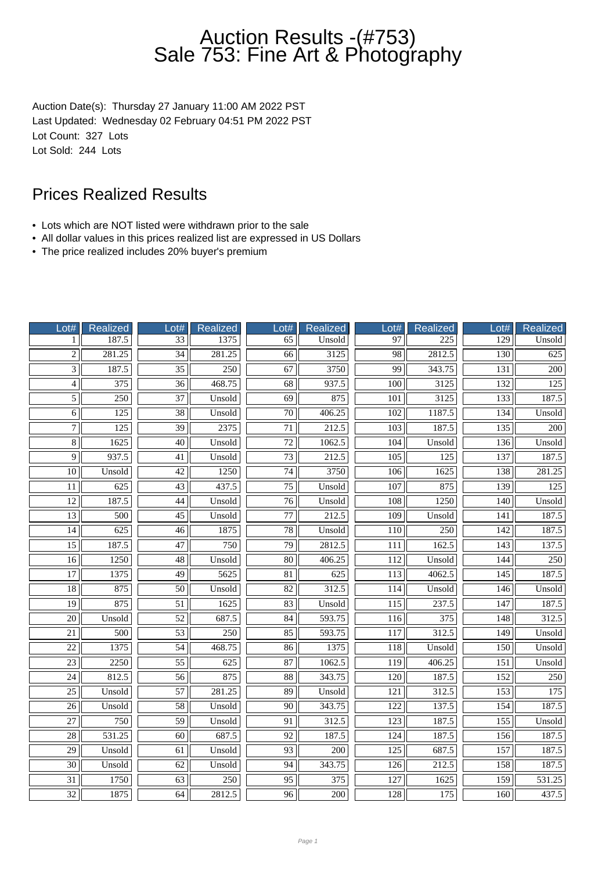## Auction Results -(#753) Sale 753: Fine Art & Photography

Auction Date(s): Thursday 27 January 11:00 AM 2022 PST Last Updated: Wednesday 02 February 04:51 PM 2022 PST Lot Count: 327 Lots Lot Sold: 244 Lots

#### Prices Realized Results

- Lots which are NOT listed were withdrawn prior to the sale
- All dollar values in this prices realized list are expressed in US Dollars
- The price realized includes 20% buyer's premium

| Lot#            | <b>Realized</b>  | Lot#            | Realized            | Lot#            | Realized         | Lot#             | <b>Realized</b>     | Lot#             | Realized         |
|-----------------|------------------|-----------------|---------------------|-----------------|------------------|------------------|---------------------|------------------|------------------|
| 1               | 187.5            | 33              | 1375                | 65              | Unsold           | 97               | 225                 | $\overline{129}$ | Unsold           |
| $\overline{2}$  | 281.25           | $\overline{34}$ | $\overline{281.25}$ | 66              | 3125             | $\overline{98}$  | $\overline{2812.5}$ | $\overline{130}$ | 625              |
| $\overline{3}$  | 187.5            | $\overline{35}$ | 250                 | 67              | 3750             | 99               | 343.75              | 131              | 200              |
| $\overline{4}$  | 375              | $\overline{36}$ | 468.75              | $\overline{68}$ | 937.5            | 100              | 3125                | 132              | 125              |
| $\overline{5}$  | 250              | 37              | Unsold              | 69              | 875              | 101              | 3125                | 133              | 187.5            |
| $\overline{6}$  | 125              | $\overline{38}$ | Unsold              | $\overline{70}$ | 406.25           | 102              | 1187.5              | 134              | Unsold           |
| $\overline{7}$  | 125              | $\overline{39}$ | 2375                | $\overline{71}$ | 212.5            | $\overline{103}$ | 187.5               | $\overline{135}$ | $\overline{200}$ |
| $\overline{8}$  | 1625             | $\overline{40}$ | Unsold              | $\overline{72}$ | 1062.5           | 104              | Unsold              | 136              | Unsold           |
| $\overline{9}$  | 937.5            | 41              | Unsold              | 73              | 212.5            | 105              | 125                 | 137              | 187.5            |
| 10              | Unsold           | 42              | 1250                | 74              | 3750             | 106              | 1625                | 138              | 281.25           |
| 11              | $\overline{625}$ | 43              | 437.5               | 75              | Unsold           | 107              | 875                 | 139              | 125              |
| $\overline{12}$ | 187.5            | 44              | Unsold              | 76              | Unsold           | 108              | 1250                | 140              | Unsold           |
| $\overline{13}$ | 500              | $\overline{45}$ | Unsold              | $\overline{77}$ | 212.5            | $\overline{109}$ | Unsold              | 141              | 187.5            |
| 14              | 625              | 46              | 1875                | 78              | Unsold           | 110              | $\overline{250}$    | 142              | 187.5            |
| $\overline{15}$ | 187.5            | 47              | 750                 | 79              | 2812.5           | 111              | 162.5               | 143              | 137.5            |
| 16              | 1250             | 48              | Unsold              | 80              | 406.25           | 112              | Unsold              | 144              | 250              |
| $\overline{17}$ | 1375             | $\overline{49}$ | 5625                | $\overline{81}$ | $\overline{625}$ | $\overline{113}$ | 4062.5              | 145              | 187.5            |
| $\overline{18}$ | 875              | $\overline{50}$ | Unsold              | $\overline{82}$ | 312.5            | 114              | Unsold              | 146              | Unsold           |
| $\overline{19}$ | 875              | $\overline{51}$ | 1625                | 83              | Unsold           | 115              | 237.5               | 147              | 187.5            |
| $\overline{20}$ | Unsold           | 52              | 687.5               | 84              | 593.75           | 116              | 375                 | 148              | 312.5            |
| 21              | 500              | 53              | 250                 | 85              | 593.75           | 117              | 312.5               | 149              | Unsold           |
| $\overline{22}$ | 1375             | $\overline{54}$ | 468.75              | 86              | 1375             | 118              | Unsold              | 150              | Unsold           |
| $\overline{23}$ | 2250             | $\overline{55}$ | $\overline{625}$    | 87              | 1062.5           | $\overline{119}$ | 406.25              | $\overline{151}$ | Unsold           |
| $\overline{24}$ | 812.5            | $\overline{56}$ | 875                 | $\overline{88}$ | 343.75           | $\overline{120}$ | 187.5               | 152              | 250              |
| $\overline{25}$ | Unsold           | 57              | 281.25              | 89              | Unsold           | 121              | 312.5               | 153              | 175              |
| $\overline{26}$ | Unsold           | 58              | Unsold              | 90              | 343.75           | 122              | 137.5               | 154              | 187.5            |
| 27              | 750              | 59              | Unsold              | 91              | 312.5            | 123              | 187.5               | 155              | Unsold           |
| $\overline{28}$ | 531.25           | $\overline{60}$ | 687.5               | $\overline{92}$ | 187.5            | $\overline{124}$ | 187.5               | 156              | 187.5            |
| $\overline{29}$ | Unsold           | 61              | Unsold              | 93              | $\overline{200}$ | $\overline{125}$ | 687.5               | 157              | 187.5            |
| $\overline{30}$ | Unsold           | 62              | Unsold              | 94              | 343.75           | 126              | 212.5               | 158              | 187.5            |
| $\overline{31}$ | 1750             | 63              | 250                 | 95              | 375              | 127              | 1625                | 159              | 531.25           |
| 32              | 1875             | 64              | 2812.5              | 96              | 200              | 128              | 175                 | 160              | 437.5            |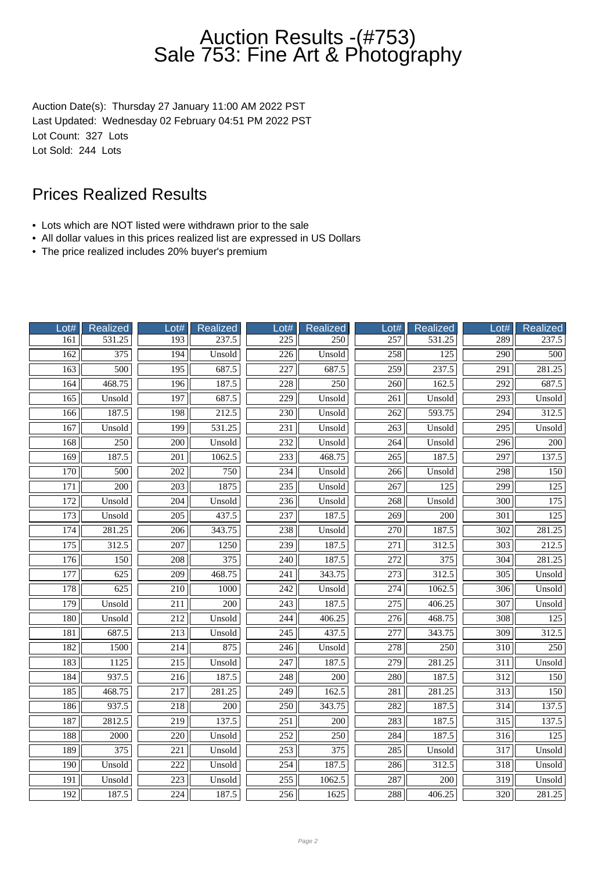## Auction Results -(#753) Sale 753: Fine Art & Photography

Auction Date(s): Thursday 27 January 11:00 AM 2022 PST Last Updated: Wednesday 02 February 04:51 PM 2022 PST Lot Count: 327 Lots Lot Sold: 244 Lots

#### Prices Realized Results

- Lots which are NOT listed were withdrawn prior to the sale
- All dollar values in this prices realized list are expressed in US Dollars
- The price realized includes 20% buyer's premium

| Lot#             | Realized         | Lot#             | Realized         | $_0$ ot#         | Realized         | $_0$ ot#         | Realized         | Lot#             | Realized         |
|------------------|------------------|------------------|------------------|------------------|------------------|------------------|------------------|------------------|------------------|
| 161              | 531.25           | 193              | 237.5            | $\overline{225}$ | 250              | 257              | 531.25           | 289              | 237.5            |
| 162              | $\overline{375}$ | 194              | Unsold           | $\overline{226}$ | Unsold           | 258              | $\overline{125}$ | $\overline{290}$ | 500              |
| 163              | 500              | 195              | 687.5            | 227              | 687.5            | 259              | 237.5            | 291              | 281.25           |
| 164              | 468.75           | 196              | 187.5            | 228              | 250              | 260              | 162.5            | $\overline{292}$ | 687.5            |
| 165              | Unsold           | 197              | 687.5            | 229              | Unsold           | 261              | Unsold           | 293              | Unsold           |
| 166              | 187.5            | 198              | 212.5            | 230              | Unsold           | $\overline{262}$ | 593.75           | $\overline{294}$ | 312.5            |
| 167              | Unsold           | 199              | 531.25           | 231              | Unsold           | 263              | Unsold           | 295              | Unsold           |
| 168              | 250              | $\overline{200}$ | Unsold           | 232              | Unsold           | 264              | Unsold           | 296              | $\overline{200}$ |
| 169              | 187.5            | 201              | 1062.5           | 233              | 468.75           | 265              | 187.5            | 297              | 137.5            |
| 170              | 500              | 202              | 750              | 234              | Unsold           | 266              | Unsold           | 298              | 150              |
| 171              | 200              | 203              | 1875             | 235              | Unsold           | 267              | 125              | 299              | 125              |
| 172              | Unsold           | $\overline{204}$ | Unsold           | $\overline{236}$ | Unsold           | 268              | Unsold           | $\overline{300}$ | 175              |
| 173              | Unsold           | $\overline{205}$ | 437.5            | 237              | 187.5            | 269              | $\overline{200}$ | $\overline{301}$ | $\overline{125}$ |
| 174              | 281.25           | 206              | 343.75           | 238              | Unsold           | 270              | 187.5            | $\overline{302}$ | 281.25           |
| 175              | 312.5            | $\overline{207}$ | 1250             | 239              | 187.5            | $\overline{271}$ | 312.5            | $\overline{303}$ | 212.5            |
| 176              | 150              | 208              | 375              | 240              | 187.5            | 272              | 375              | 304              | 281.25           |
| 177              | 625              | $\overline{209}$ | 468.75           | 241              | 343.75           | $\overline{273}$ | 312.5            | $\overline{305}$ | Unsold           |
| 178              | 625              | 210              | 1000             | 242              | Unsold           | 274              | 1062.5           | 306              | Unsold           |
| 179              | Unsold           | $\overline{211}$ | $\overline{200}$ | $\overline{243}$ | 187.5            | $\overline{275}$ | 406.25           | $\overline{307}$ | Unsold           |
| 180              | Unsold           | 212              | Unsold           | 244              | 406.25           | 276              | 468.75           | 308              | 125              |
| 181              | 687.5            | 213              | Unsold           | 245              | 437.5            | 277              | 343.75           | 309              | 312.5            |
| 182              | 1500             | 214              | 875              | 246              | Unsold           | $\overline{278}$ | 250              | $\overline{310}$ | 250              |
| 183              | 1125             | $\overline{215}$ | Unsold           | $\overline{247}$ | 187.5            | $\overline{279}$ | 281.25           | $\overline{311}$ | Unsold           |
| 184              | 937.5            | $\overline{216}$ | 187.5            | 248              | $\overline{200}$ | 280              | 187.5            | $\overline{312}$ | 150              |
| 185              | 468.75           | 217              | 281.25           | 249              | 162.5            | 281              | 281.25           | 313              | 150              |
| 186              | 937.5            | 218              | 200              | 250              | 343.75           | 282              | 187.5            | $\overline{314}$ | 137.5            |
| 187              | 2812.5           | 219              | 137.5            | 251              | 200              | 283              | 187.5            | 315              | 137.5            |
| 188              | $\frac{2000}{ }$ | $\overline{220}$ | Unsold           | $\overline{252}$ | $\overline{250}$ | 284              | 187.5            | $\overline{316}$ | $\overline{125}$ |
| 189              | 375              | 221              | Unsold           | 253              | 375              | 285              | Unsold           | 317              | Unsold           |
| 190              | Unsold           | 222              | Unsold           | 254              | 187.5            | 286              | 312.5            | 318              | Unsold           |
| $\overline{191}$ | Unsold           | 223              | Unsold           | 255              | 1062.5           | 287              | 200              | 319              | Unsold           |
| 192              | 187.5            | 224              | 187.5            | 256              | 1625             | 288              | 406.25           | 320              | 281.25           |